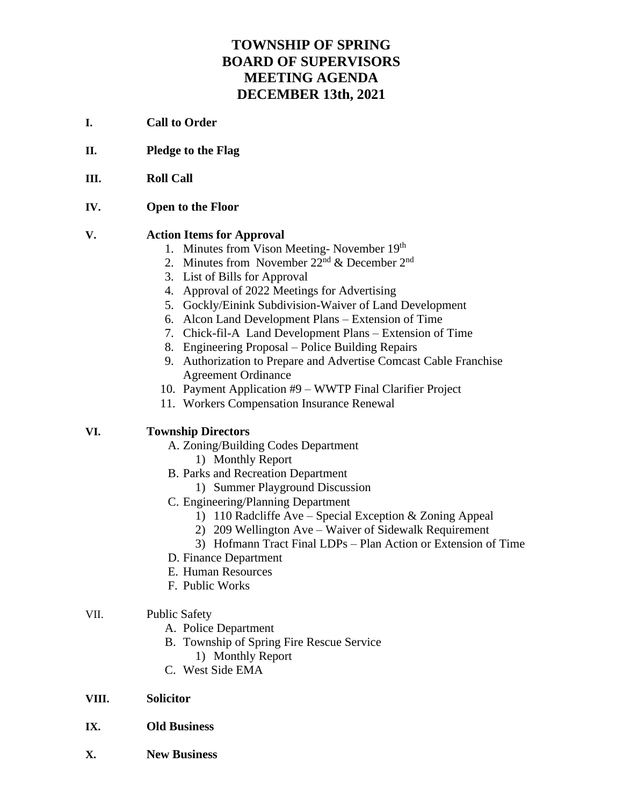# **TOWNSHIP OF SPRING BOARD OF SUPERVISORS MEETING AGENDA DECEMBER 13th, 2021**

- **I. Call to Order**
- **II. Pledge to the Flag**
- **III. Roll Call**
- **IV. Open to the Floor**

### **V. Action Items for Approval**

- 1. Minutes from Vison Meeting-November 19<sup>th</sup>
- 2. Minutes from November 22<sup>nd</sup> & December 2<sup>nd</sup>
- 3. List of Bills for Approval
- 4. Approval of 2022 Meetings for Advertising
- 5. Gockly/Einink Subdivision-Waiver of Land Development
- 6. Alcon Land Development Plans Extension of Time
- 7. Chick-fil-A Land Development Plans Extension of Time
- 8. Engineering Proposal Police Building Repairs
- 9. Authorization to Prepare and Advertise Comcast Cable Franchise Agreement Ordinance
- 10. Payment Application #9 WWTP Final Clarifier Project
- 11. Workers Compensation Insurance Renewal

### **VI. Township Directors**

- A. Zoning/Building Codes Department
	- 1) Monthly Report
- B. Parks and Recreation Department
	- 1) Summer Playground Discussion
- C. Engineering/Planning Department
	- 1) 110 Radcliffe Ave Special Exception & Zoning Appeal
	- 2) 209 Wellington Ave Waiver of Sidewalk Requirement
	- 3) Hofmann Tract Final LDPs Plan Action or Extension of Time
- D. Finance Department
- E. Human Resources
- F. Public Works

#### VII. Public Safety

- A. Police Department
- B. Township of Spring Fire Rescue Service
	- 1) Monthly Report
- C. West Side EMA

#### **VIII. Solicitor**

- **IX. Old Business**
- **X. New Business**